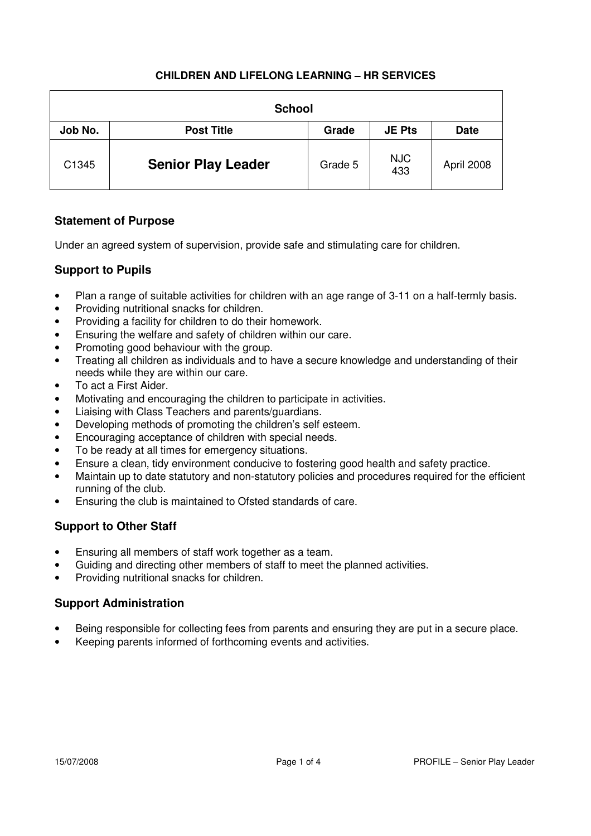| <b>School</b> |                           |         |                   |             |  |
|---------------|---------------------------|---------|-------------------|-------------|--|
| Job No.       | <b>Post Title</b>         | Grade   | <b>JE Pts</b>     | <b>Date</b> |  |
| C1345         | <b>Senior Play Leader</b> | Grade 5 | <b>NJC</b><br>433 | April 2008  |  |

## **Statement of Purpose**

Under an agreed system of supervision, provide safe and stimulating care for children.

## **Support to Pupils**

- Plan a range of suitable activities for children with an age range of 3-11 on a half-termly basis.
- Providing nutritional snacks for children.
- Providing a facility for children to do their homework.
- Ensuring the welfare and safety of children within our care.
- Promoting good behaviour with the group.
- Treating all children as individuals and to have a secure knowledge and understanding of their needs while they are within our care.
- To act a First Aider.
- Motivating and encouraging the children to participate in activities.
- Liaising with Class Teachers and parents/guardians.
- Developing methods of promoting the children's self esteem.
- Encouraging acceptance of children with special needs.
- To be ready at all times for emergency situations.
- Ensure a clean, tidy environment conducive to fostering good health and safety practice.
- Maintain up to date statutory and non-statutory policies and procedures required for the efficient running of the club.
- Ensuring the club is maintained to Ofsted standards of care.

# **Support to Other Staff**

- Ensuring all members of staff work together as a team.
- Guiding and directing other members of staff to meet the planned activities.
- Providing nutritional snacks for children.

### **Support Administration**

- Being responsible for collecting fees from parents and ensuring they are put in a secure place.
- Keeping parents informed of forthcoming events and activities.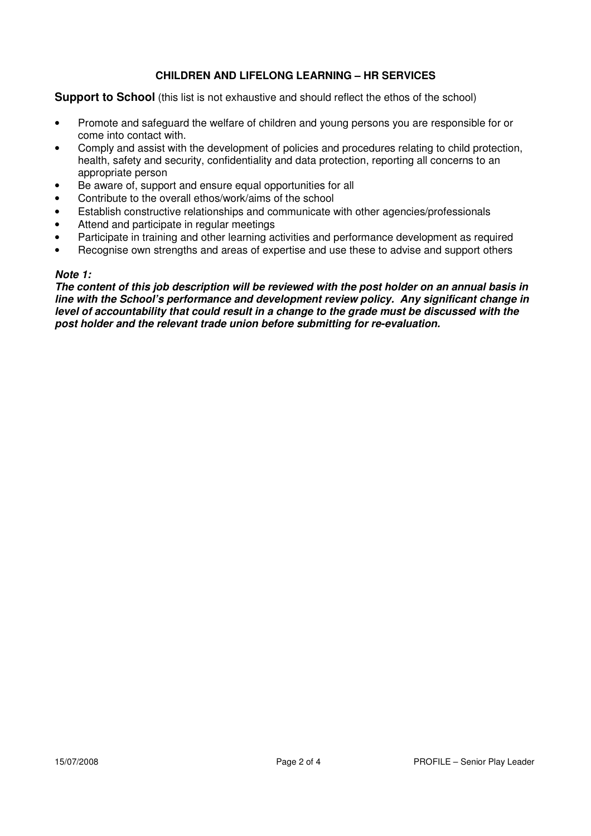#### **Support to School** (this list is not exhaustive and should reflect the ethos of the school)

- Promote and safeguard the welfare of children and young persons you are responsible for or come into contact with.
- Comply and assist with the development of policies and procedures relating to child protection, health, safety and security, confidentiality and data protection, reporting all concerns to an appropriate person
- Be aware of, support and ensure equal opportunities for all
- Contribute to the overall ethos/work/aims of the school
- Establish constructive relationships and communicate with other agencies/professionals
- Attend and participate in regular meetings
- Participate in training and other learning activities and performance development as required
- Recognise own strengths and areas of expertise and use these to advise and support others

#### **Note 1:**

**The content of this job description will be reviewed with the post holder on an annual basis in line with the School's performance and development review policy. Any significant change in level of accountability that could result in a change to the grade must be discussed with the post holder and the relevant trade union before submitting for re-evaluation.**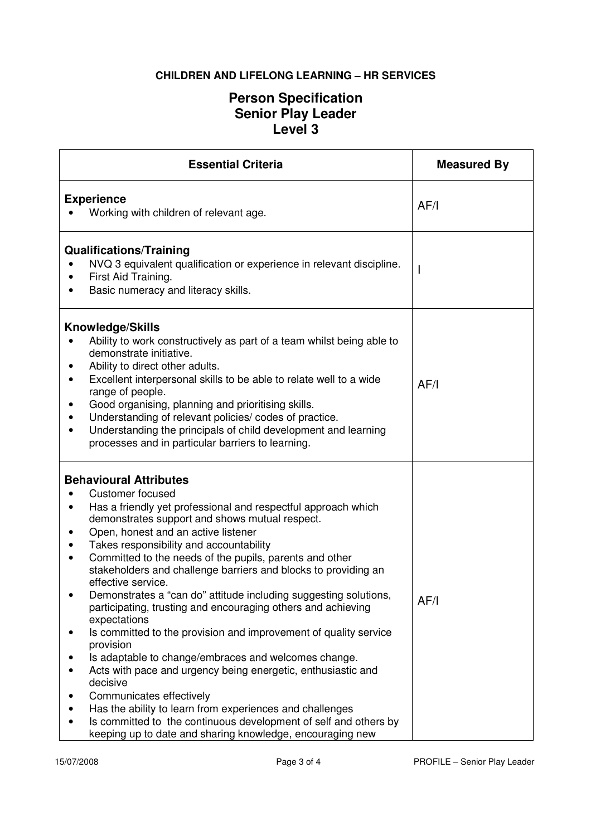# **Person Specification Senior Play Leader Level 3**

| <b>Essential Criteria</b>                                                                                                                                                                                                                                                                                                                                                                                                                                                                                                                                                                                                                                                                                                                                                                                                                                                                                                                                                                                               | <b>Measured By</b> |
|-------------------------------------------------------------------------------------------------------------------------------------------------------------------------------------------------------------------------------------------------------------------------------------------------------------------------------------------------------------------------------------------------------------------------------------------------------------------------------------------------------------------------------------------------------------------------------------------------------------------------------------------------------------------------------------------------------------------------------------------------------------------------------------------------------------------------------------------------------------------------------------------------------------------------------------------------------------------------------------------------------------------------|--------------------|
| <b>Experience</b><br>Working with children of relevant age.                                                                                                                                                                                                                                                                                                                                                                                                                                                                                                                                                                                                                                                                                                                                                                                                                                                                                                                                                             | AF/I               |
| <b>Qualifications/Training</b><br>NVQ 3 equivalent qualification or experience in relevant discipline.<br>First Aid Training.<br>$\bullet$<br>Basic numeracy and literacy skills.<br>$\bullet$                                                                                                                                                                                                                                                                                                                                                                                                                                                                                                                                                                                                                                                                                                                                                                                                                          |                    |
| <b>Knowledge/Skills</b><br>Ability to work constructively as part of a team whilst being able to<br>demonstrate initiative.<br>Ability to direct other adults.<br>Excellent interpersonal skills to be able to relate well to a wide<br>$\bullet$<br>range of people.<br>Good organising, planning and prioritising skills.<br>Understanding of relevant policies/ codes of practice.<br>Understanding the principals of child development and learning<br>processes and in particular barriers to learning.                                                                                                                                                                                                                                                                                                                                                                                                                                                                                                            | AF/I               |
| <b>Behavioural Attributes</b><br><b>Customer focused</b><br>Has a friendly yet professional and respectful approach which<br>demonstrates support and shows mutual respect.<br>Open, honest and an active listener<br>Takes responsibility and accountability<br>٠<br>Committed to the needs of the pupils, parents and other<br>stakeholders and challenge barriers and blocks to providing an<br>effective service.<br>Demonstrates a "can do" attitude including suggesting solutions,<br>participating, trusting and encouraging others and achieving<br>expectations<br>Is committed to the provision and improvement of quality service<br>provision<br>Is adaptable to change/embraces and welcomes change.<br>Acts with pace and urgency being energetic, enthusiastic and<br>decisive<br>Communicates effectively<br>Has the ability to learn from experiences and challenges<br>Is committed to the continuous development of self and others by<br>keeping up to date and sharing knowledge, encouraging new | AF/I               |